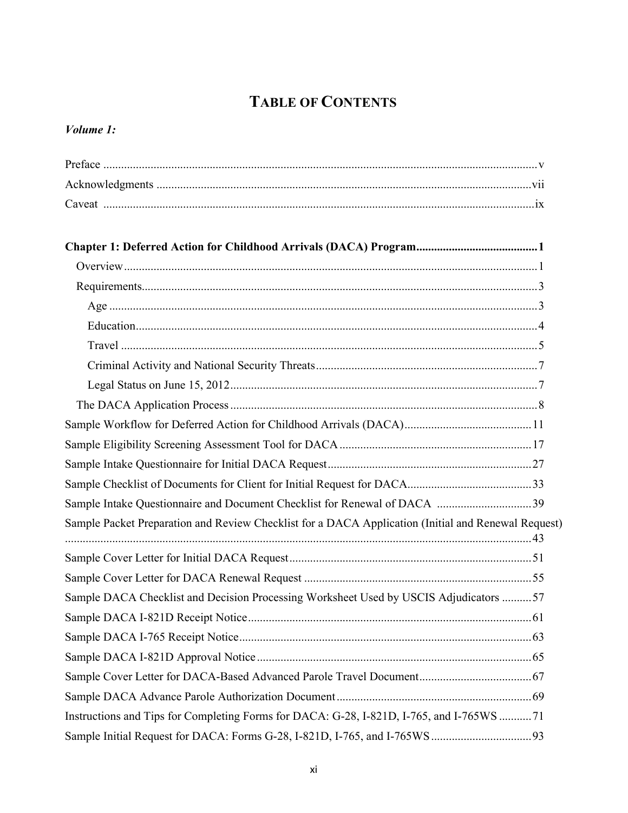# **TABLE OF CONTENTS**

#### *Volume 1:*

| Sample Intake Questionnaire and Document Checklist for Renewal of DACA 39                           |  |
|-----------------------------------------------------------------------------------------------------|--|
| Sample Packet Preparation and Review Checklist for a DACA Application (Initial and Renewal Request) |  |
|                                                                                                     |  |
|                                                                                                     |  |
| Sample DACA Checklist and Decision Processing Worksheet Used by USCIS Adjudicators 57               |  |
|                                                                                                     |  |
|                                                                                                     |  |
|                                                                                                     |  |
|                                                                                                     |  |
|                                                                                                     |  |
| Instructions and Tips for Completing Forms for DACA: G-28, I-821D, I-765, and I-765WS 71            |  |
|                                                                                                     |  |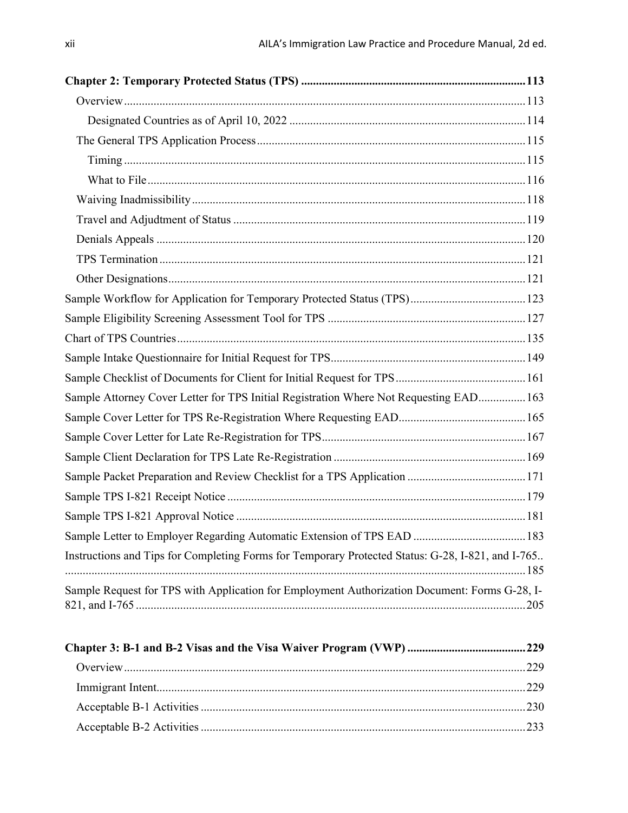| Sample Attorney Cover Letter for TPS Initial Registration Where Not Requesting EAD 163            |  |
|---------------------------------------------------------------------------------------------------|--|
|                                                                                                   |  |
|                                                                                                   |  |
|                                                                                                   |  |
|                                                                                                   |  |
|                                                                                                   |  |
|                                                                                                   |  |
| Sample Letter to Employer Regarding Automatic Extension of TPS EAD  183                           |  |
| Instructions and Tips for Completing Forms for Temporary Protected Status: G-28, I-821, and I-765 |  |
| Sample Request for TPS with Application for Employment Authorization Document: Forms G-28, I-     |  |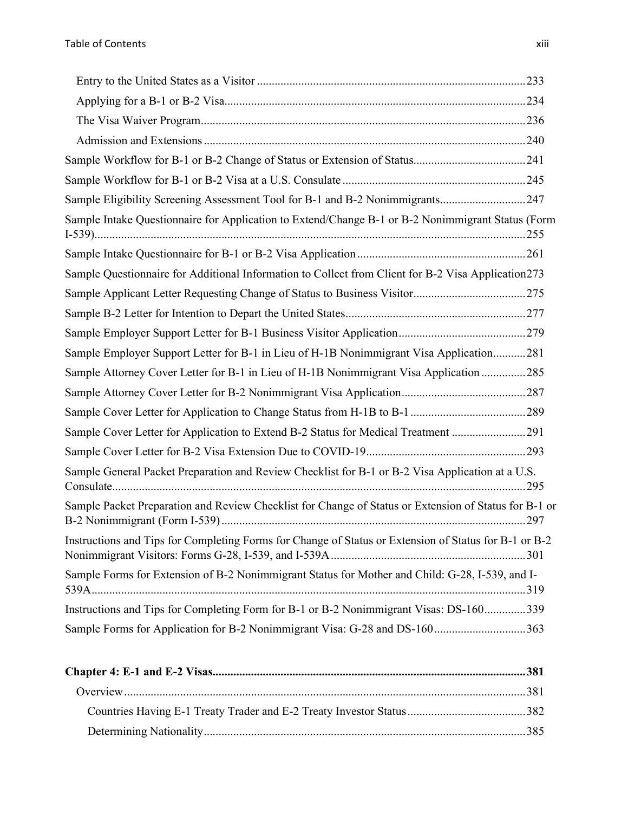| Sample Eligibility Screening Assessment Tool for B-1 and B-2 Nonimmigrants 247                        |  |
|-------------------------------------------------------------------------------------------------------|--|
| Sample Intake Questionnaire for Application to Extend/Change B-1 or B-2 Nonimmigrant Status (Form     |  |
|                                                                                                       |  |
| Sample Questionnaire for Additional Information to Collect from Client for B-2 Visa Application273    |  |
|                                                                                                       |  |
|                                                                                                       |  |
|                                                                                                       |  |
| Sample Employer Support Letter for B-1 in Lieu of H-1B Nonimmigrant Visa Application281               |  |
| Sample Attorney Cover Letter for B-1 in Lieu of H-1B Nonimmigrant Visa Application 285                |  |
|                                                                                                       |  |
|                                                                                                       |  |
| Sample Cover Letter for Application to Extend B-2 Status for Medical Treatment 291                    |  |
|                                                                                                       |  |
| Sample General Packet Preparation and Review Checklist for B-1 or B-2 Visa Application at a U.S.      |  |
| Sample Packet Preparation and Review Checklist for Change of Status or Extension of Status for B-1 or |  |
| Instructions and Tips for Completing Forms for Change of Status or Extension of Status for B-1 or B-2 |  |
| Sample Forms for Extension of B-2 Nonimmigrant Status for Mother and Child: G-28, I-539, and I-       |  |
| Instructions and Tips for Completing Form for B-1 or B-2 Nonimmigrant Visas: DS-160339                |  |
| Sample Forms for Application for B-2 Nonimmigrant Visa: G-28 and DS-160363                            |  |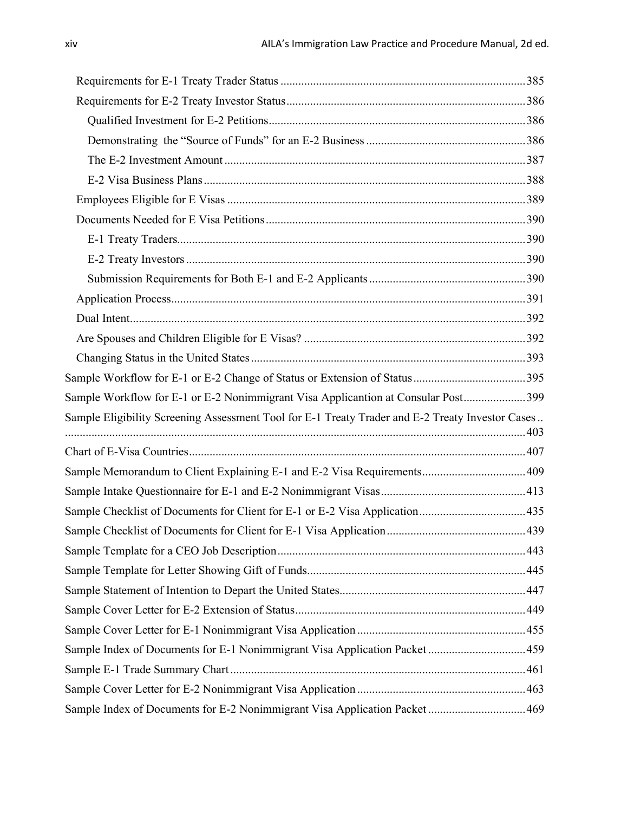| Sample Workflow for E-1 or E-2 Nonimmigrant Visa Applicantion at Consular Post399                |  |
|--------------------------------------------------------------------------------------------------|--|
| Sample Eligibility Screening Assessment Tool for E-1 Treaty Trader and E-2 Treaty Investor Cases |  |
|                                                                                                  |  |
|                                                                                                  |  |
|                                                                                                  |  |
|                                                                                                  |  |
| Sample Checklist of Documents for Client for E-1 or E-2 Visa Application435                      |  |
|                                                                                                  |  |
|                                                                                                  |  |
|                                                                                                  |  |
|                                                                                                  |  |
|                                                                                                  |  |
|                                                                                                  |  |
| Sample Index of Documents for E-1 Nonimmigrant Visa Application Packet459                        |  |
|                                                                                                  |  |
|                                                                                                  |  |
| Sample Index of Documents for E-2 Nonimmigrant Visa Application Packet469                        |  |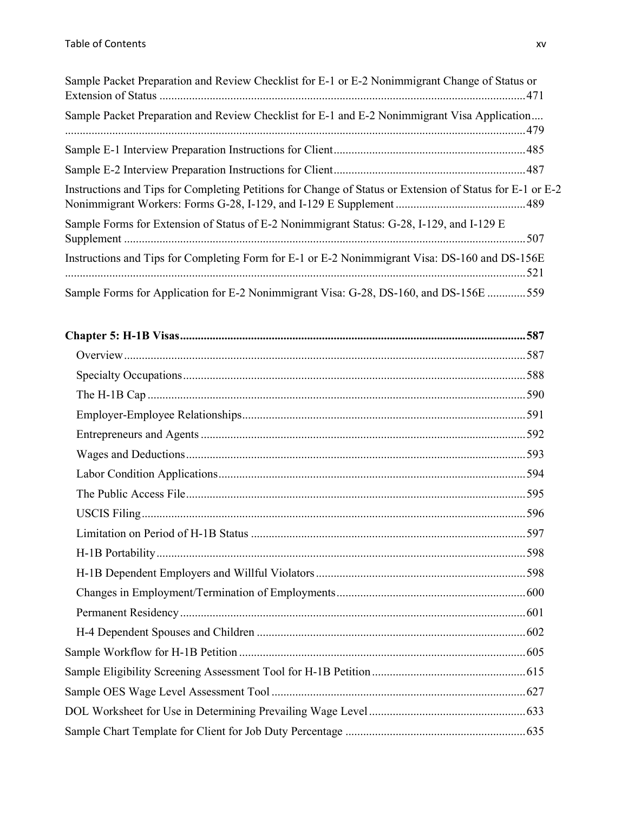| Sample Packet Preparation and Review Checklist for E-1 or E-2 Nonimmigrant Change of Status or            |  |
|-----------------------------------------------------------------------------------------------------------|--|
| Sample Packet Preparation and Review Checklist for E-1 and E-2 Nonimmigrant Visa Application              |  |
|                                                                                                           |  |
|                                                                                                           |  |
| Instructions and Tips for Completing Petitions for Change of Status or Extension of Status for E-1 or E-2 |  |
| Sample Forms for Extension of Status of E-2 Nonimmigrant Status: G-28, I-129, and I-129 E                 |  |
| Instructions and Tips for Completing Form for E-1 or E-2 Nonimmigrant Visa: DS-160 and DS-156E            |  |
| Sample Forms for Application for E-2 Nonimmigrant Visa: G-28, DS-160, and DS-156E 559                     |  |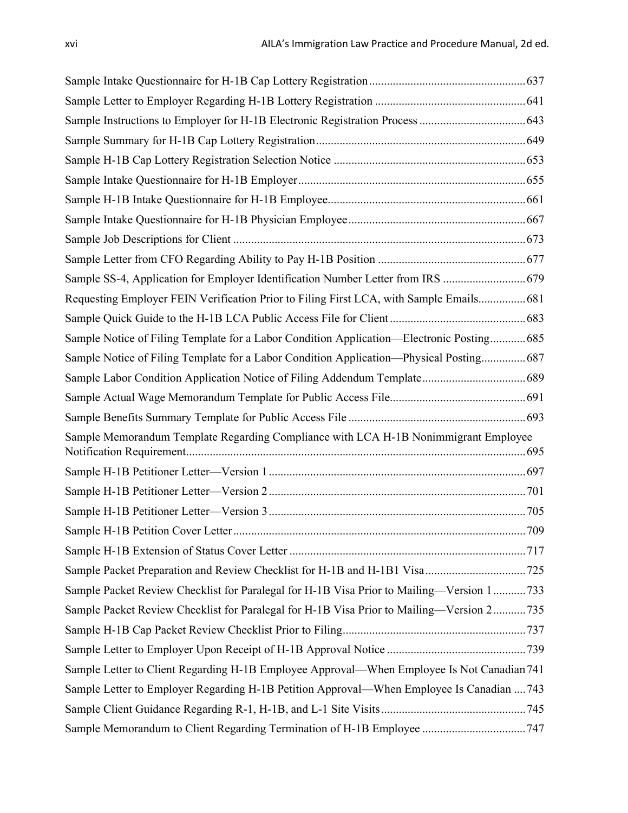| Sample SS-4, Application for Employer Identification Number Letter from IRS  679           |  |
|--------------------------------------------------------------------------------------------|--|
| Requesting Employer FEIN Verification Prior to Filing First LCA, with Sample Emails 681    |  |
|                                                                                            |  |
| Sample Notice of Filing Template for a Labor Condition Application—Electronic Posting 685  |  |
| Sample Notice of Filing Template for a Labor Condition Application—Physical Posting687     |  |
|                                                                                            |  |
|                                                                                            |  |
|                                                                                            |  |
| Sample Memorandum Template Regarding Compliance with LCA H-1B Nonimmigrant Employee        |  |
|                                                                                            |  |
|                                                                                            |  |
|                                                                                            |  |
|                                                                                            |  |
|                                                                                            |  |
|                                                                                            |  |
| Sample Packet Review Checklist for Paralegal for H-1B Visa Prior to Mailing-Version 1733   |  |
| Sample Packet Review Checklist for Paralegal for H-1B Visa Prior to Mailing—Version 2735   |  |
|                                                                                            |  |
|                                                                                            |  |
| Sample Letter to Client Regarding H-1B Employee Approval—When Employee Is Not Canadian 741 |  |
| Sample Letter to Employer Regarding H-1B Petition Approval—When Employee Is Canadian  743  |  |
|                                                                                            |  |
| Sample Memorandum to Client Regarding Termination of H-1B Employee  747                    |  |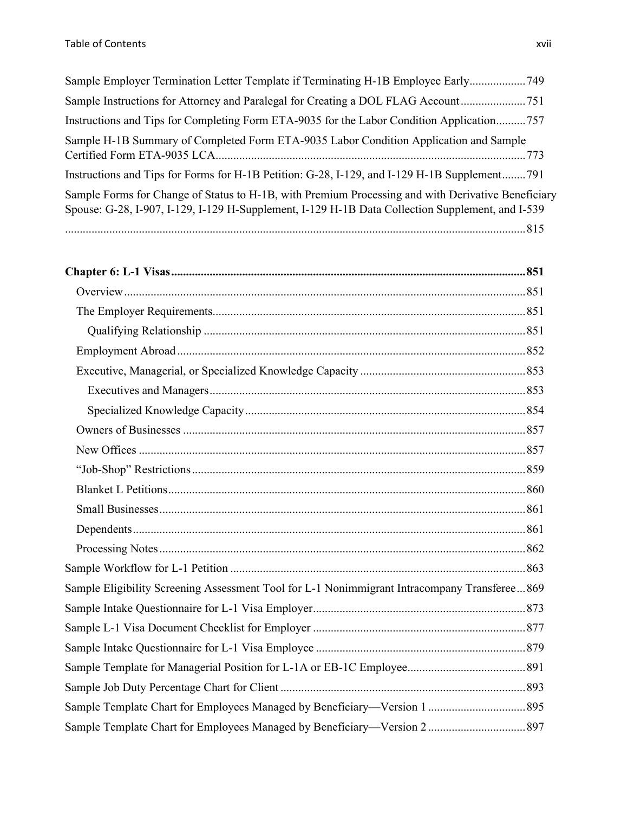| Sample Employer Termination Letter Template if Terminating H-1B Employee Early749                                                                                                                      |
|--------------------------------------------------------------------------------------------------------------------------------------------------------------------------------------------------------|
| Sample Instructions for Attorney and Paralegal for Creating a DOL FLAG Account751                                                                                                                      |
| Instructions and Tips for Completing Form ETA-9035 for the Labor Condition Application757                                                                                                              |
| Sample H-1B Summary of Completed Form ETA-9035 Labor Condition Application and Sample                                                                                                                  |
| Instructions and Tips for Forms for H-1B Petition: G-28, I-129, and I-129 H-1B Supplement791                                                                                                           |
| Sample Forms for Change of Status to H-1B, with Premium Processing and with Derivative Beneficiary<br>Spouse: G-28, I-907, I-129, I-129 H-Supplement, I-129 H-1B Data Collection Supplement, and I-539 |
|                                                                                                                                                                                                        |

| Sample Eligibility Screening Assessment Tool for L-1 Nonimmigrant Intracompany Transferee869 |  |
|----------------------------------------------------------------------------------------------|--|
|                                                                                              |  |
|                                                                                              |  |
|                                                                                              |  |
|                                                                                              |  |
|                                                                                              |  |
|                                                                                              |  |
| Sample Template Chart for Employees Managed by Beneficiary-Version 2 897                     |  |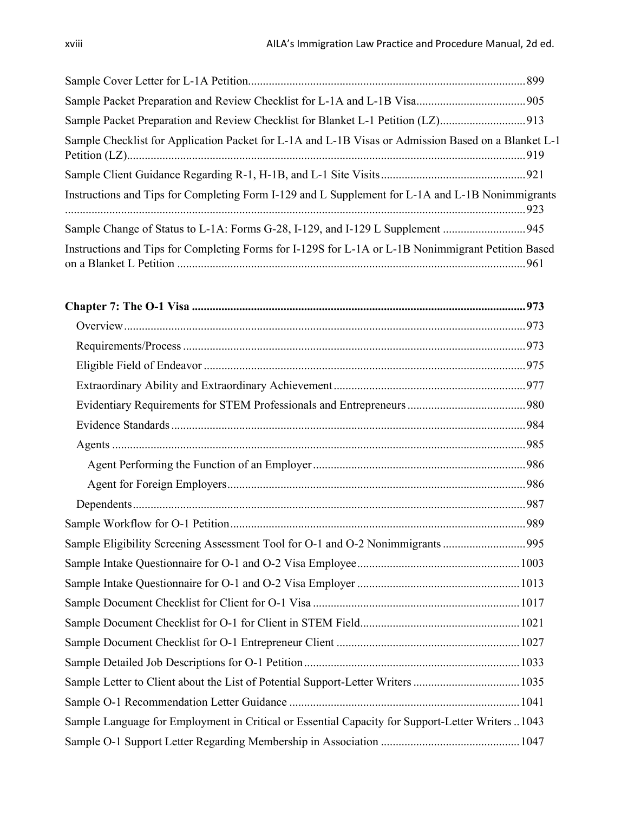| Sample Packet Preparation and Review Checklist for Blanket L-1 Petition (LZ)                        |  |
|-----------------------------------------------------------------------------------------------------|--|
| Sample Checklist for Application Packet for L-1A and L-1B Visas or Admission Based on a Blanket L-1 |  |
|                                                                                                     |  |
| Instructions and Tips for Completing Form I-129 and L Supplement for L-1A and L-1B Nonimmigrants    |  |
|                                                                                                     |  |
| Instructions and Tips for Completing Forms for I-129S for L-1A or L-1B Nonimmigrant Petition Based  |  |

| Sample Eligibility Screening Assessment Tool for O-1 and O-2 Nonimmigrants 995                  |  |
|-------------------------------------------------------------------------------------------------|--|
|                                                                                                 |  |
|                                                                                                 |  |
|                                                                                                 |  |
|                                                                                                 |  |
|                                                                                                 |  |
|                                                                                                 |  |
| Sample Letter to Client about the List of Potential Support-Letter Writers  1035                |  |
|                                                                                                 |  |
| Sample Language for Employment in Critical or Essential Capacity for Support-Letter Writers1043 |  |
|                                                                                                 |  |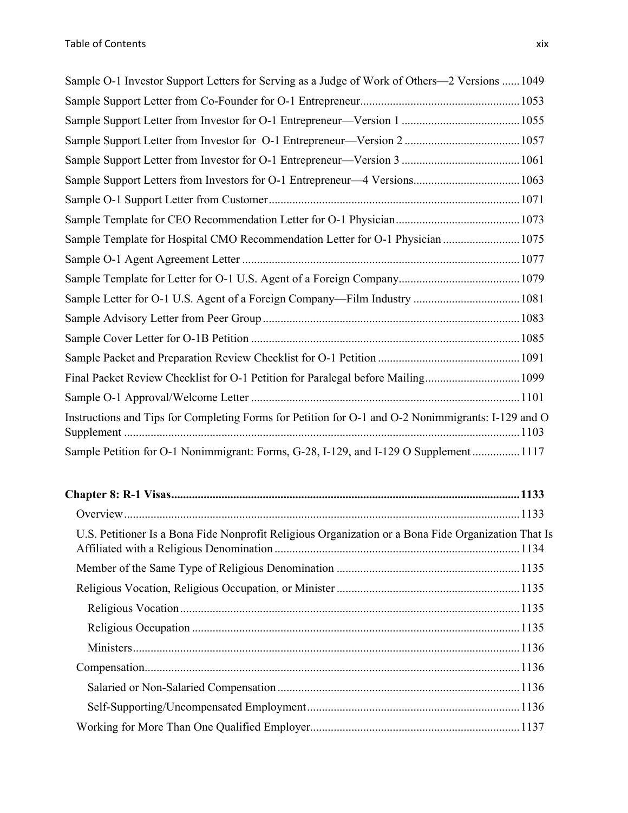| Sample O-1 Investor Support Letters for Serving as a Judge of Work of Others—2 Versions  1049      |
|----------------------------------------------------------------------------------------------------|
|                                                                                                    |
|                                                                                                    |
|                                                                                                    |
|                                                                                                    |
| Sample Support Letters from Investors for O-1 Entrepreneur-4 Versions 1063                         |
|                                                                                                    |
|                                                                                                    |
| Sample Template for Hospital CMO Recommendation Letter for O-1 Physician  1075                     |
|                                                                                                    |
|                                                                                                    |
| Sample Letter for O-1 U.S. Agent of a Foreign Company-Film Industry  1081                          |
|                                                                                                    |
|                                                                                                    |
|                                                                                                    |
| Final Packet Review Checklist for O-1 Petition for Paralegal before Mailing 1099                   |
|                                                                                                    |
| Instructions and Tips for Completing Forms for Petition for O-1 and O-2 Nonimmigrants: I-129 and O |
| Sample Petition for O-1 Nonimmigrant: Forms, G-28, I-129, and I-129 O Supplement  1117             |

| U.S. Petitioner Is a Bona Fide Nonprofit Religious Organization or a Bona Fide Organization That Is |  |
|-----------------------------------------------------------------------------------------------------|--|
|                                                                                                     |  |
|                                                                                                     |  |
|                                                                                                     |  |
|                                                                                                     |  |
|                                                                                                     |  |
|                                                                                                     |  |
|                                                                                                     |  |
|                                                                                                     |  |
|                                                                                                     |  |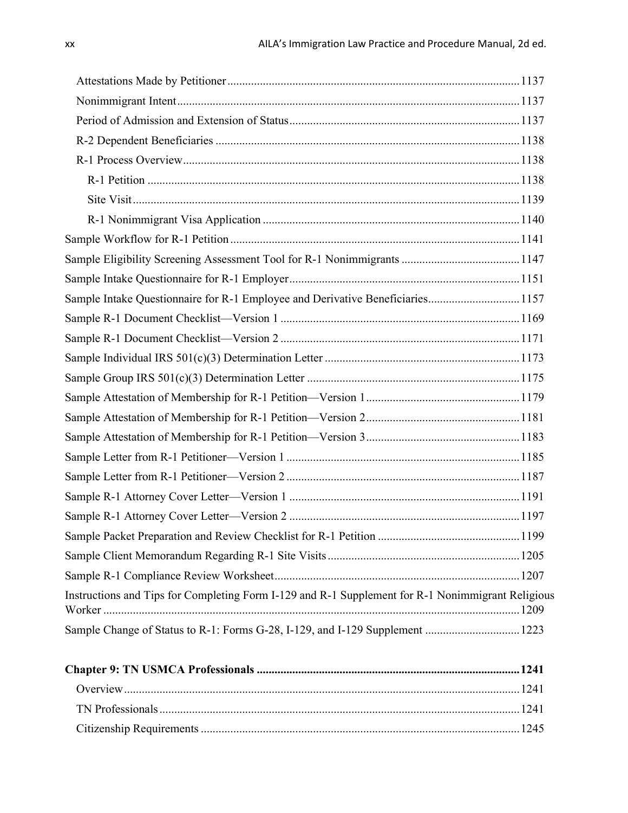| Sample Intake Questionnaire for R-1 Employee and Derivative Beneficiaries 1157                    |  |
|---------------------------------------------------------------------------------------------------|--|
|                                                                                                   |  |
|                                                                                                   |  |
|                                                                                                   |  |
|                                                                                                   |  |
|                                                                                                   |  |
|                                                                                                   |  |
|                                                                                                   |  |
|                                                                                                   |  |
|                                                                                                   |  |
|                                                                                                   |  |
|                                                                                                   |  |
|                                                                                                   |  |
|                                                                                                   |  |
|                                                                                                   |  |
| Instructions and Tips for Completing Form I-129 and R-1 Supplement for R-1 Nonimmigrant Religious |  |
| Sample Change of Status to R-1: Forms G-28, I-129, and I-129 Supplement  1223                     |  |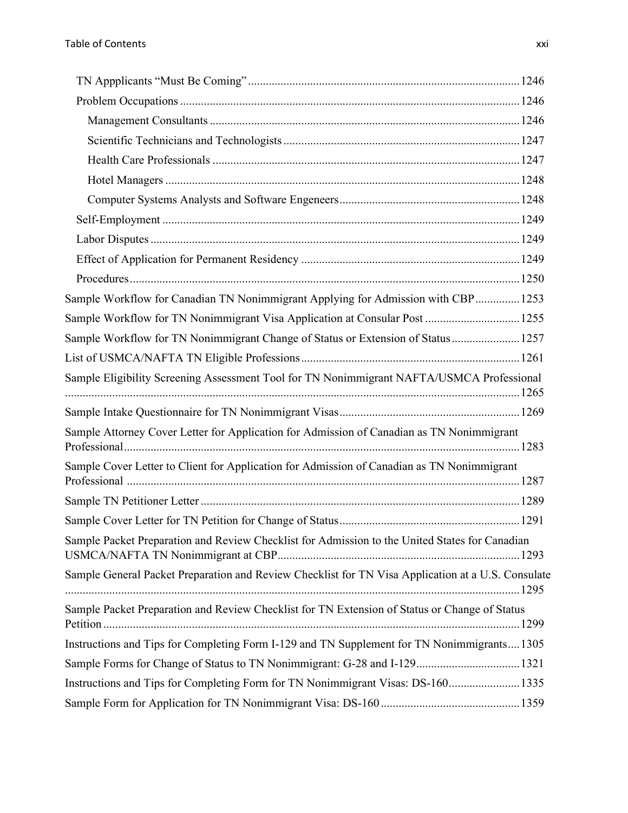| Sample Workflow for Canadian TN Nonimmigrant Applying for Admission with CBP 1253                  |  |
|----------------------------------------------------------------------------------------------------|--|
| Sample Workflow for TN Nonimmigrant Visa Application at Consular Post  1255                        |  |
| Sample Workflow for TN Nonimmigrant Change of Status or Extension of Status 1257                   |  |
|                                                                                                    |  |
| Sample Eligibility Screening Assessment Tool for TN Nonimmigrant NAFTA/USMCA Professional          |  |
|                                                                                                    |  |
| Sample Attorney Cover Letter for Application for Admission of Canadian as TN Nonimmigrant          |  |
| Sample Cover Letter to Client for Application for Admission of Canadian as TN Nonimmigrant         |  |
|                                                                                                    |  |
|                                                                                                    |  |
| Sample Packet Preparation and Review Checklist for Admission to the United States for Canadian     |  |
| Sample General Packet Preparation and Review Checklist for TN Visa Application at a U.S. Consulate |  |
| Sample Packet Preparation and Review Checklist for TN Extension of Status or Change of Status      |  |
| Instructions and Tips for Completing Form I-129 and TN Supplement for TN Nonimmigrants 1305        |  |
| Sample Forms for Change of Status to TN Nonimmigrant: G-28 and I-129 1321                          |  |
| Instructions and Tips for Completing Form for TN Nonimmigrant Visas: DS-160 1335                   |  |
|                                                                                                    |  |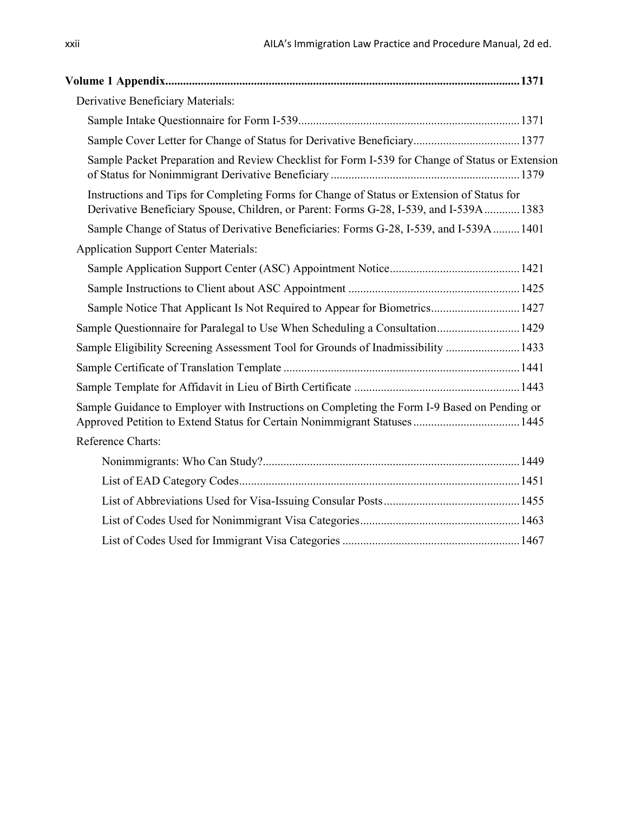| Derivative Beneficiary Materials:                                                                                                                                                    |  |
|--------------------------------------------------------------------------------------------------------------------------------------------------------------------------------------|--|
|                                                                                                                                                                                      |  |
| Sample Cover Letter for Change of Status for Derivative Beneficiary 1377                                                                                                             |  |
| Sample Packet Preparation and Review Checklist for Form I-539 for Change of Status or Extension                                                                                      |  |
| Instructions and Tips for Completing Forms for Change of Status or Extension of Status for<br>Derivative Beneficiary Spouse, Children, or Parent: Forms G-28, I-539, and I-539A 1383 |  |
| Sample Change of Status of Derivative Beneficiaries: Forms G-28, I-539, and I-539A  1401                                                                                             |  |
| <b>Application Support Center Materials:</b>                                                                                                                                         |  |
|                                                                                                                                                                                      |  |
|                                                                                                                                                                                      |  |
| Sample Notice That Applicant Is Not Required to Appear for Biometrics 1427                                                                                                           |  |
| Sample Questionnaire for Paralegal to Use When Scheduling a Consultation 1429                                                                                                        |  |
| Sample Eligibility Screening Assessment Tool for Grounds of Inadmissibility  1433                                                                                                    |  |
|                                                                                                                                                                                      |  |
|                                                                                                                                                                                      |  |
| Sample Guidance to Employer with Instructions on Completing the Form I-9 Based on Pending or                                                                                         |  |
| Reference Charts:                                                                                                                                                                    |  |
|                                                                                                                                                                                      |  |
|                                                                                                                                                                                      |  |
|                                                                                                                                                                                      |  |
|                                                                                                                                                                                      |  |
|                                                                                                                                                                                      |  |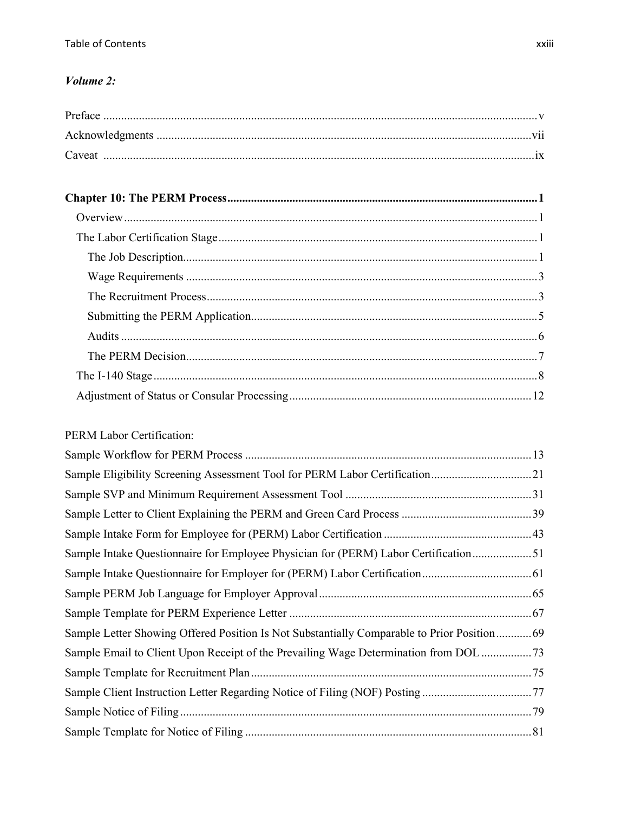#### Volume 2:

### **PERM Labor Certification:**

| Sample Eligibility Screening Assessment Tool for PERM Labor Certification21                 |  |
|---------------------------------------------------------------------------------------------|--|
|                                                                                             |  |
|                                                                                             |  |
|                                                                                             |  |
| Sample Intake Questionnaire for Employee Physician for (PERM) Labor Certification51         |  |
|                                                                                             |  |
|                                                                                             |  |
|                                                                                             |  |
| Sample Letter Showing Offered Position Is Not Substantially Comparable to Prior Position 69 |  |
| Sample Email to Client Upon Receipt of the Prevailing Wage Determination from DOL  73       |  |
|                                                                                             |  |
| Sample Client Instruction Letter Regarding Notice of Filing (NOF) Posting 77                |  |
|                                                                                             |  |
|                                                                                             |  |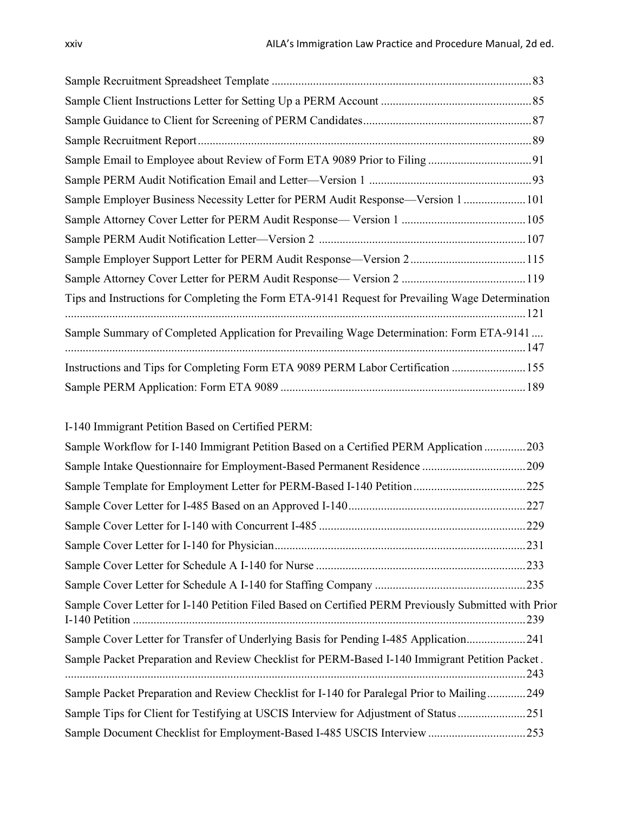| Sample Employer Business Necessity Letter for PERM Audit Response—Version 1 101                  |  |
|--------------------------------------------------------------------------------------------------|--|
|                                                                                                  |  |
|                                                                                                  |  |
| Sample Employer Support Letter for PERM Audit Response—Version 2 115                             |  |
|                                                                                                  |  |
| Tips and Instructions for Completing the Form ETA-9141 Request for Prevailing Wage Determination |  |
| Sample Summary of Completed Application for Prevailing Wage Determination: Form ETA-9141         |  |
| Instructions and Tips for Completing Form ETA 9089 PERM Labor Certification  155                 |  |
|                                                                                                  |  |

I-140 Immigrant Petition Based on Certified PERM:

| Sample Workflow for I-140 Immigrant Petition Based on a Certified PERM Application 203                       |  |
|--------------------------------------------------------------------------------------------------------------|--|
|                                                                                                              |  |
| Sample Template for Employment Letter for PERM-Based I-140 Petition<br>.225                                  |  |
|                                                                                                              |  |
|                                                                                                              |  |
|                                                                                                              |  |
|                                                                                                              |  |
|                                                                                                              |  |
| Sample Cover Letter for I-140 Petition Filed Based on Certified PERM Previously Submitted with Prior<br>.239 |  |
| Sample Cover Letter for Transfer of Underlying Basis for Pending I-485 Application241                        |  |
| Sample Packet Preparation and Review Checklist for PERM-Based I-140 Immigrant Petition Packet.<br>.243       |  |
| Sample Packet Preparation and Review Checklist for I-140 for Paralegal Prior to Mailing249                   |  |
| Sample Tips for Client for Testifying at USCIS Interview for Adjustment of Status251                         |  |
| Sample Document Checklist for Employment-Based I-485 USCIS Interview 253                                     |  |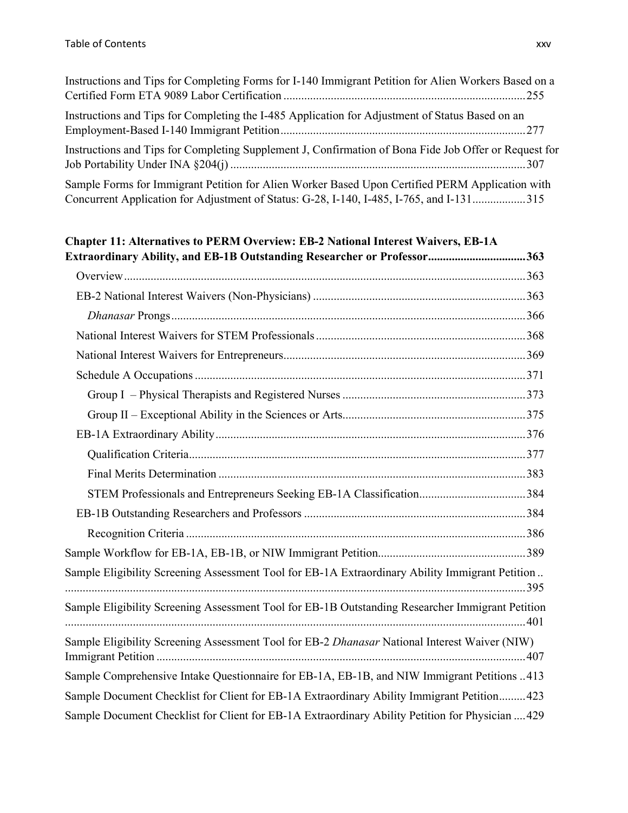| Instructions and Tips for Completing Forms for I-140 Immigrant Petition for Alien Workers Based on a                                                                                        |
|---------------------------------------------------------------------------------------------------------------------------------------------------------------------------------------------|
| Instructions and Tips for Completing the I-485 Application for Adjustment of Status Based on an                                                                                             |
| Instructions and Tips for Completing Supplement J, Confirmation of Bona Fide Job Offer or Request for                                                                                       |
| Sample Forms for Immigrant Petition for Alien Worker Based Upon Certified PERM Application with<br>Concurrent Application for Adjustment of Status: G-28, I-140, I-485, I-765, and I-131315 |

## **Chapter 11: Alternatives to PERM Overview: EB-2 National Interest Waivers, EB-1A Extraordinary Ability, and EB-1B Outstanding Researcher or Professor.................................363** Overview........................................................................................................................................363 EB-2 National Interest Waivers (Non-Physicians) ........................................................................363 *Dhanasar* Prongs........................................................................................................................366 National Interest Waivers for STEM Professionals.......................................................................368 National Interest Waivers for Entrepreneurs..................................................................................369 Schedule A Occupations................................................................................................................371 Group I – Physical Therapists and Registered Nurses..............................................................373 Group II – Exceptional Ability in the Sciences or Arts..............................................................375 EB-1A Extraordinary Ability.........................................................................................................376 Qualification Criteria..................................................................................................................377 Final Merits Determination ........................................................................................................383 STEM Professionals and Entrepreneurs Seeking EB-1A Classification....................................384 EB-1B Outstanding Researchers and Professors ...........................................................................384 Recognition Criteria ...................................................................................................................386 Sample Workflow for EB-1A, EB-1B, or NIW Immigrant Petition..................................................389 Sample Eligibility Screening Assessment Tool for EB-1A Extraordinary Ability Immigrant Petition .. ............................................................................................................................................................395 Sample Eligibility Screening Assessment Tool for EB-1B Outstanding Researcher Immigrant Petition ............................................................................................................................................................401 Sample Eligibility Screening Assessment Tool for EB-2 *Dhanasar* National Interest Waiver (NIW) Immigrant Petition .............................................................................................................................407 Sample Comprehensive Intake Questionnaire for EB-1A, EB-1B, and NIW Immigrant Petitions ..413 Sample Document Checklist for Client for EB-1A Extraordinary Ability Immigrant Petition.........423 Sample Document Checklist for Client for EB-1A Extraordinary Ability Petition for Physician ....429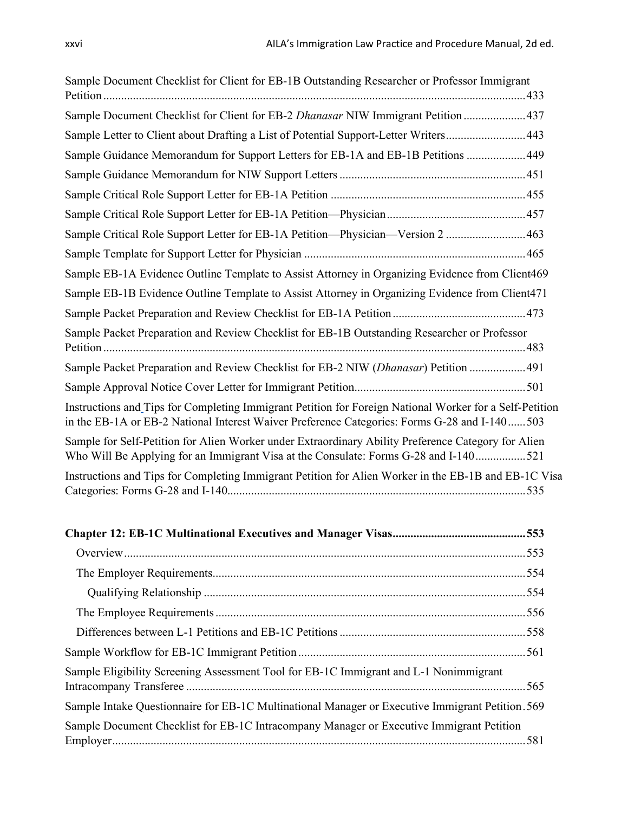| Sample Document Checklist for Client for EB-1B Outstanding Researcher or Professor Immigrant                                                                                                             |
|----------------------------------------------------------------------------------------------------------------------------------------------------------------------------------------------------------|
| Sample Document Checklist for Client for EB-2 Dhanasar NIW Immigrant Petition  437                                                                                                                       |
| Sample Letter to Client about Drafting a List of Potential Support-Letter Writers443                                                                                                                     |
| Sample Guidance Memorandum for Support Letters for EB-1A and EB-1B Petitions 449                                                                                                                         |
|                                                                                                                                                                                                          |
|                                                                                                                                                                                                          |
|                                                                                                                                                                                                          |
| Sample Critical Role Support Letter for EB-1A Petition-Physician-Version 2  463                                                                                                                          |
|                                                                                                                                                                                                          |
| Sample EB-1A Evidence Outline Template to Assist Attorney in Organizing Evidence from Client469                                                                                                          |
| Sample EB-1B Evidence Outline Template to Assist Attorney in Organizing Evidence from Client471                                                                                                          |
|                                                                                                                                                                                                          |
| Sample Packet Preparation and Review Checklist for EB-1B Outstanding Researcher or Professor                                                                                                             |
| Sample Packet Preparation and Review Checklist for EB-2 NIW (Dhanasar) Petition  491                                                                                                                     |
|                                                                                                                                                                                                          |
| Instructions and Tips for Completing Immigrant Petition for Foreign National Worker for a Self-Petition<br>in the EB-1A or EB-2 National Interest Waiver Preference Categories: Forms G-28 and I-140 503 |
| Sample for Self-Petition for Alien Worker under Extraordinary Ability Preference Category for Alien<br>Who Will Be Applying for an Immigrant Visa at the Consulate: Forms G-28 and I-140521              |
| Instructions and Tips for Completing Immigrant Petition for Alien Worker in the EB-1B and EB-1C Visa                                                                                                     |

| Sample Eligibility Screening Assessment Tool for EB-1C Immigrant and L-1 Nonimmigrant            |  |
|--------------------------------------------------------------------------------------------------|--|
| Sample Intake Questionnaire for EB-1C Multinational Manager or Executive Immigrant Petition. 569 |  |
| Sample Document Checklist for EB-1C Intracompany Manager or Executive Immigrant Petition         |  |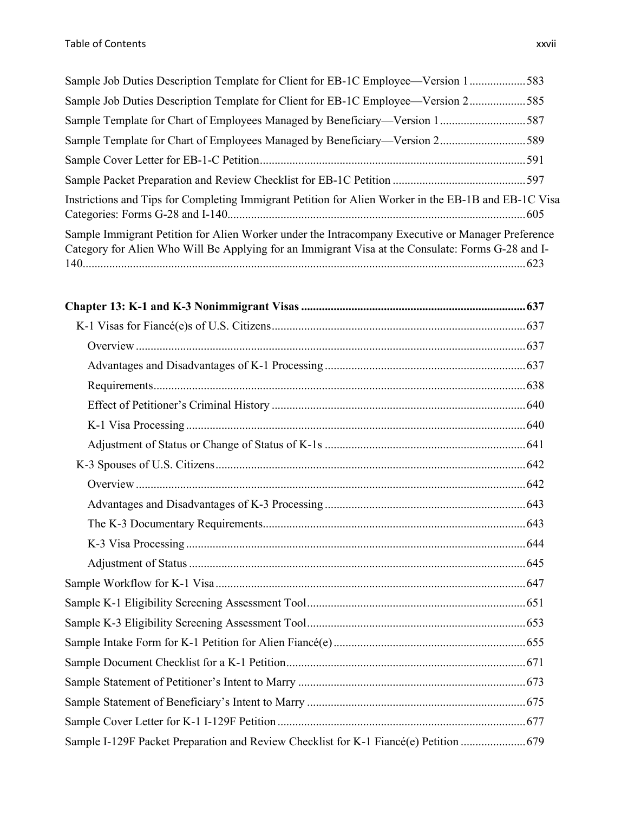| Sample Job Duties Description Template for Client for EB-1C Employee—Version 1583                                                                                                                      |     |
|--------------------------------------------------------------------------------------------------------------------------------------------------------------------------------------------------------|-----|
| Sample Job Duties Description Template for Client for EB-1C Employee—Version 2585                                                                                                                      |     |
| Sample Template for Chart of Employees Managed by Beneficiary—Version 1587                                                                                                                             |     |
| Sample Template for Chart of Employees Managed by Beneficiary—Version 2589                                                                                                                             |     |
|                                                                                                                                                                                                        |     |
|                                                                                                                                                                                                        |     |
| Instrictions and Tips for Completing Immigrant Petition for Alien Worker in the EB-1B and EB-1C Visa                                                                                                   |     |
| Sample Immigrant Petition for Alien Worker under the Intracompany Executive or Manager Preference<br>Category for Alien Who Will Be Applying for an Immigrant Visa at the Consulate: Forms G-28 and I- |     |
|                                                                                                                                                                                                        |     |
|                                                                                                                                                                                                        |     |
|                                                                                                                                                                                                        |     |
|                                                                                                                                                                                                        |     |
|                                                                                                                                                                                                        |     |
|                                                                                                                                                                                                        |     |
|                                                                                                                                                                                                        |     |
|                                                                                                                                                                                                        |     |
| $V2$ Spouses of II S. Citizens                                                                                                                                                                         | 642 |

| 679. Sample I-129F Packet Preparation and Review Checklist for K-1 Fiancé(e) Petition |  |
|---------------------------------------------------------------------------------------|--|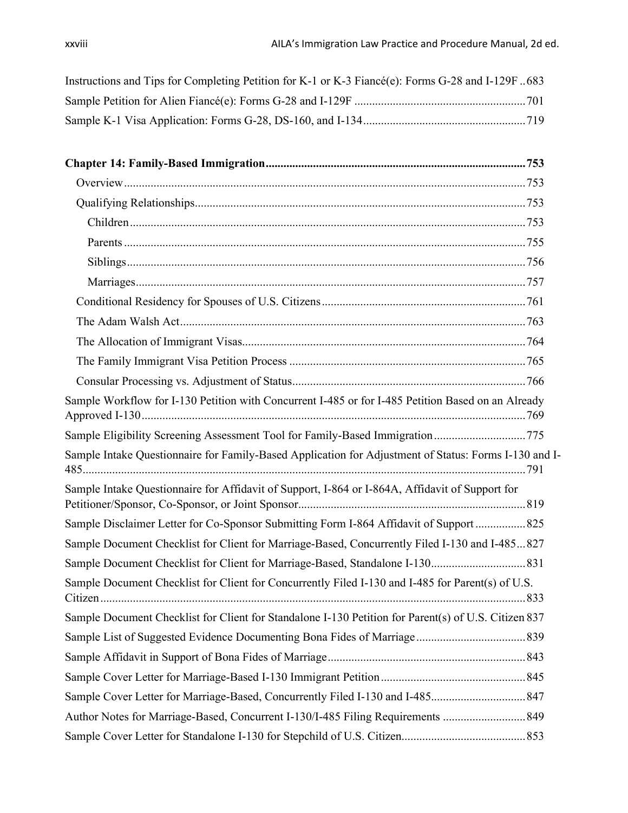| Instructions and Tips for Completing Petition for K-1 or K-3 Fiancé(e): Forms G-28 and I-129F683 |  |
|--------------------------------------------------------------------------------------------------|--|
|                                                                                                  |  |
|                                                                                                  |  |

| Sample Workflow for I-130 Petition with Concurrent I-485 or for I-485 Petition Based on an Already    |
|-------------------------------------------------------------------------------------------------------|
| Sample Eligibility Screening Assessment Tool for Family-Based Immigration 775                         |
| Sample Intake Questionnaire for Family-Based Application for Adjustment of Status: Forms I-130 and I- |
| Sample Intake Questionnaire for Affidavit of Support, I-864 or I-864A, Affidavit of Support for       |
| Sample Disclaimer Letter for Co-Sponsor Submitting Form I-864 Affidavit of Support 825                |
| Sample Document Checklist for Client for Marriage-Based, Concurrently Filed I-130 and I-485827        |
|                                                                                                       |
| Sample Document Checklist for Client for Concurrently Filed I-130 and I-485 for Parent(s) of U.S.     |
| Sample Document Checklist for Client for Standalone I-130 Petition for Parent(s) of U.S. Citizen 837  |
|                                                                                                       |
|                                                                                                       |
|                                                                                                       |
|                                                                                                       |
| Author Notes for Marriage-Based, Concurrent I-130/I-485 Filing Requirements  849                      |
|                                                                                                       |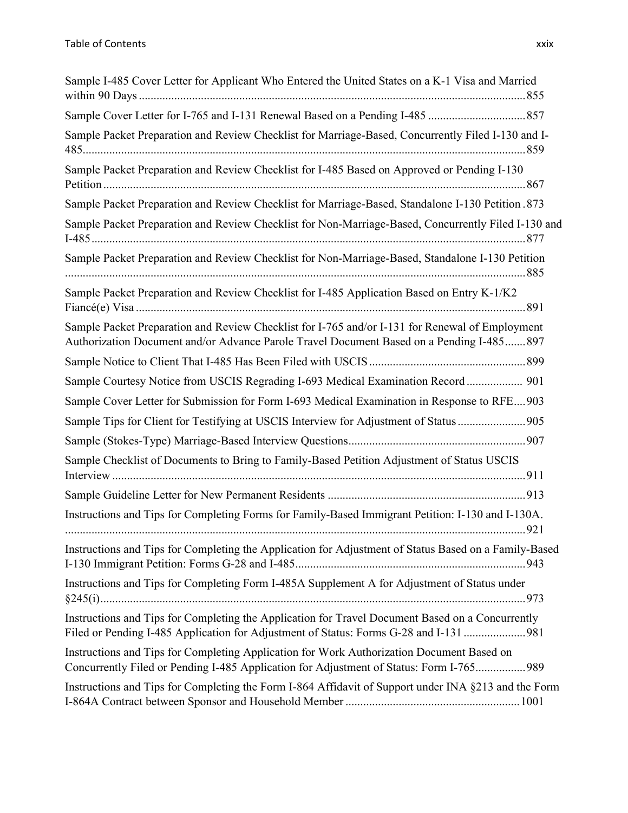| Sample I-485 Cover Letter for Applicant Who Entered the United States on a K-1 Visa and Married                                                                                              |
|----------------------------------------------------------------------------------------------------------------------------------------------------------------------------------------------|
|                                                                                                                                                                                              |
| Sample Packet Preparation and Review Checklist for Marriage-Based, Concurrently Filed I-130 and I-                                                                                           |
| Sample Packet Preparation and Review Checklist for I-485 Based on Approved or Pending I-130                                                                                                  |
| Sample Packet Preparation and Review Checklist for Marriage-Based, Standalone I-130 Petition .873                                                                                            |
| Sample Packet Preparation and Review Checklist for Non-Marriage-Based, Concurrently Filed I-130 and                                                                                          |
| Sample Packet Preparation and Review Checklist for Non-Marriage-Based, Standalone I-130 Petition                                                                                             |
| Sample Packet Preparation and Review Checklist for I-485 Application Based on Entry K-1/K2                                                                                                   |
| Sample Packet Preparation and Review Checklist for I-765 and/or I-131 for Renewal of Employment<br>Authorization Document and/or Advance Parole Travel Document Based on a Pending I-485 897 |
|                                                                                                                                                                                              |
| Sample Courtesy Notice from USCIS Regrading I-693 Medical Examination Record 901                                                                                                             |
| Sample Cover Letter for Submission for Form I-693 Medical Examination in Response to RFE903                                                                                                  |
| Sample Tips for Client for Testifying at USCIS Interview for Adjustment of Status 905                                                                                                        |
|                                                                                                                                                                                              |
| Sample Checklist of Documents to Bring to Family-Based Petition Adjustment of Status USCIS                                                                                                   |
|                                                                                                                                                                                              |
| Instructions and Tips for Completing Forms for Family-Based Immigrant Petition: I-130 and I-130A.<br>921                                                                                     |
| Instructions and Tips for Completing the Application for Adjustment of Status Based on a Family-Based                                                                                        |
| Instructions and Tips for Completing Form I-485A Supplement A for Adjustment of Status under                                                                                                 |
| Instructions and Tips for Completing the Application for Travel Document Based on a Concurrently<br>Filed or Pending I-485 Application for Adjustment of Status: Forms G-28 and I-131  981   |
| Instructions and Tips for Completing Application for Work Authorization Document Based on<br>Concurrently Filed or Pending I-485 Application for Adjustment of Status: Form I-765 989        |
| Instructions and Tips for Completing the Form I-864 Affidavit of Support under INA §213 and the Form                                                                                         |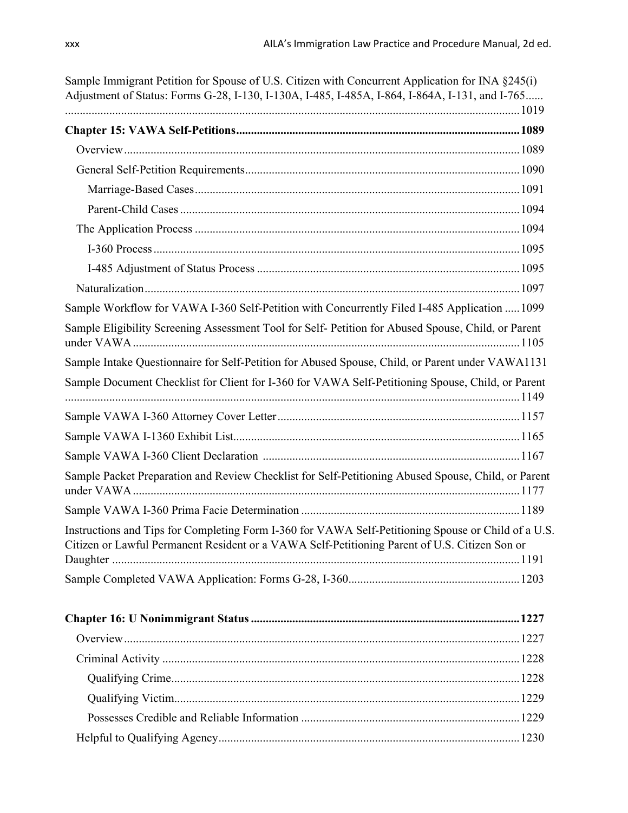| Sample Immigrant Petition for Spouse of U.S. Citizen with Concurrent Application for INA §245(i)<br>Adjustment of Status: Forms G-28, I-130, I-130A, I-485, I-485A, I-864, I-864A, I-131, and I-765  |  |
|------------------------------------------------------------------------------------------------------------------------------------------------------------------------------------------------------|--|
|                                                                                                                                                                                                      |  |
|                                                                                                                                                                                                      |  |
|                                                                                                                                                                                                      |  |
|                                                                                                                                                                                                      |  |
|                                                                                                                                                                                                      |  |
|                                                                                                                                                                                                      |  |
|                                                                                                                                                                                                      |  |
|                                                                                                                                                                                                      |  |
|                                                                                                                                                                                                      |  |
| Sample Workflow for VAWA I-360 Self-Petition with Concurrently Filed I-485 Application  1099                                                                                                         |  |
| Sample Eligibility Screening Assessment Tool for Self- Petition for Abused Spouse, Child, or Parent                                                                                                  |  |
| Sample Intake Questionnaire for Self-Petition for Abused Spouse, Child, or Parent under VAWA1131                                                                                                     |  |
| Sample Document Checklist for Client for I-360 for VAWA Self-Petitioning Spouse, Child, or Parent                                                                                                    |  |
|                                                                                                                                                                                                      |  |
|                                                                                                                                                                                                      |  |
|                                                                                                                                                                                                      |  |
| Sample Packet Preparation and Review Checklist for Self-Petitioning Abused Spouse, Child, or Parent                                                                                                  |  |
|                                                                                                                                                                                                      |  |
| Instructions and Tips for Completing Form I-360 for VAWA Self-Petitioning Spouse or Child of a U.S.<br>Citizen or Lawful Permanent Resident or a VAWA Self-Petitioning Parent of U.S. Citizen Son or |  |
|                                                                                                                                                                                                      |  |
|                                                                                                                                                                                                      |  |
|                                                                                                                                                                                                      |  |
|                                                                                                                                                                                                      |  |
|                                                                                                                                                                                                      |  |
|                                                                                                                                                                                                      |  |
|                                                                                                                                                                                                      |  |
|                                                                                                                                                                                                      |  |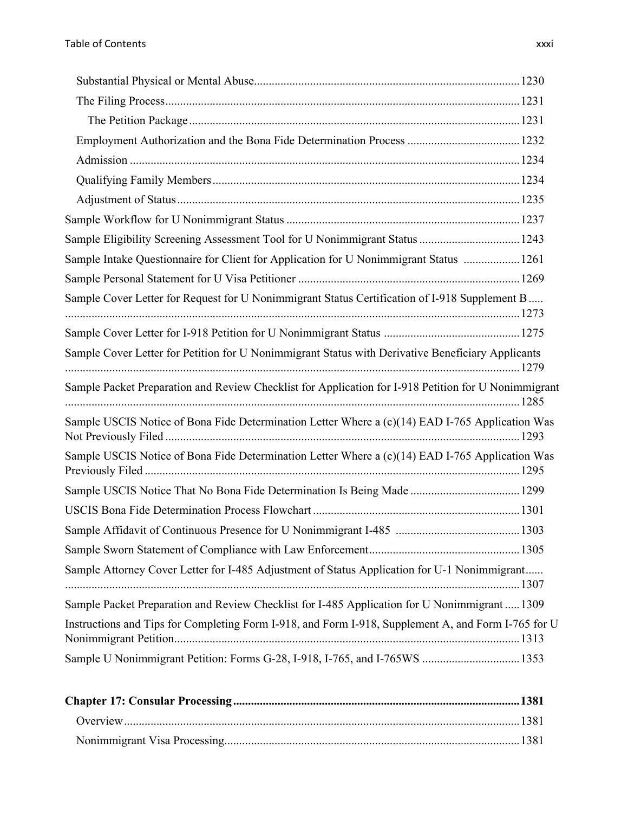| Sample Eligibility Screening Assessment Tool for U Nonimmigrant Status  1243                         |  |
|------------------------------------------------------------------------------------------------------|--|
| Sample Intake Questionnaire for Client for Application for U Nonimmigrant Status  1261               |  |
|                                                                                                      |  |
| Sample Cover Letter for Request for U Nonimmigrant Status Certification of I-918 Supplement B        |  |
|                                                                                                      |  |
| Sample Cover Letter for Petition for U Nonimmigrant Status with Derivative Beneficiary Applicants    |  |
|                                                                                                      |  |
| Sample Packet Preparation and Review Checklist for Application for I-918 Petition for U Nonimmigrant |  |
| Sample USCIS Notice of Bona Fide Determination Letter Where a (c)(14) EAD I-765 Application Was      |  |
| Sample USCIS Notice of Bona Fide Determination Letter Where a (c)(14) EAD I-765 Application Was      |  |
| Sample USCIS Notice That No Bona Fide Determination Is Being Made  1299                              |  |
|                                                                                                      |  |
|                                                                                                      |  |
|                                                                                                      |  |
| Sample Attorney Cover Letter for I-485 Adjustment of Status Application for U-1 Nonimmigrant         |  |
| Sample Packet Preparation and Review Checklist for I-485 Application for U Nonimmigrant 1309         |  |
| Instructions and Tips for Completing Form I-918, and Form I-918, Supplement A, and Form I-765 for U  |  |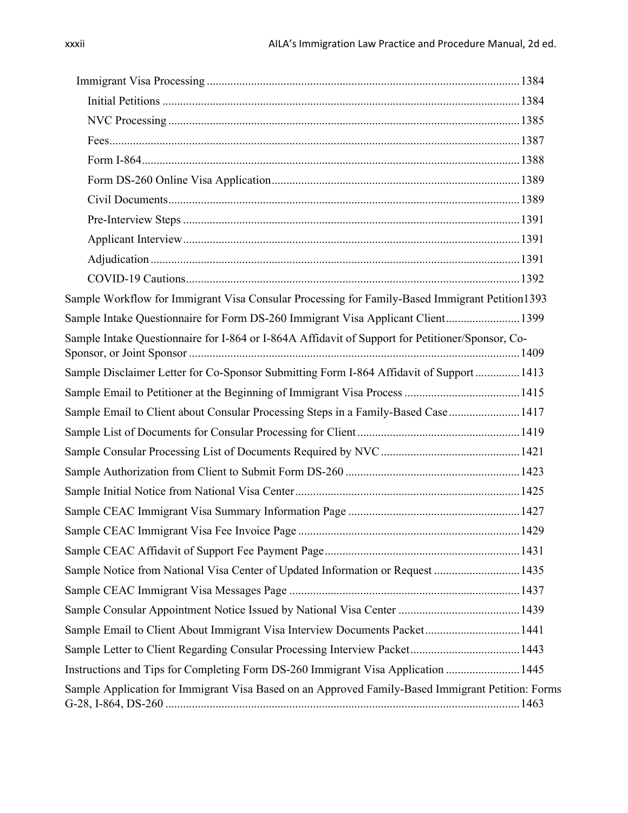| Sample Workflow for Immigrant Visa Consular Processing for Family-Based Immigrant Petition1393    |  |
|---------------------------------------------------------------------------------------------------|--|
| Sample Intake Questionnaire for Form DS-260 Immigrant Visa Applicant Client 1399                  |  |
| Sample Intake Questionnaire for I-864 or I-864A Affidavit of Support for Petitioner/Sponsor, Co-  |  |
| Sample Disclaimer Letter for Co-Sponsor Submitting Form I-864 Affidavit of Support  1413          |  |
|                                                                                                   |  |
| Sample Email to Client about Consular Processing Steps in a Family-Based Case  1417               |  |
|                                                                                                   |  |
|                                                                                                   |  |
|                                                                                                   |  |
|                                                                                                   |  |
|                                                                                                   |  |
|                                                                                                   |  |
|                                                                                                   |  |
| Sample Notice from National Visa Center of Updated Information or Request  1435                   |  |
|                                                                                                   |  |
|                                                                                                   |  |
| Sample Email to Client About Immigrant Visa Interview Documents Packet 1441                       |  |
| Sample Letter to Client Regarding Consular Processing Interview Packet 1443                       |  |
| Instructions and Tips for Completing Form DS-260 Immigrant Visa Application  1445                 |  |
| Sample Application for Immigrant Visa Based on an Approved Family-Based Immigrant Petition: Forms |  |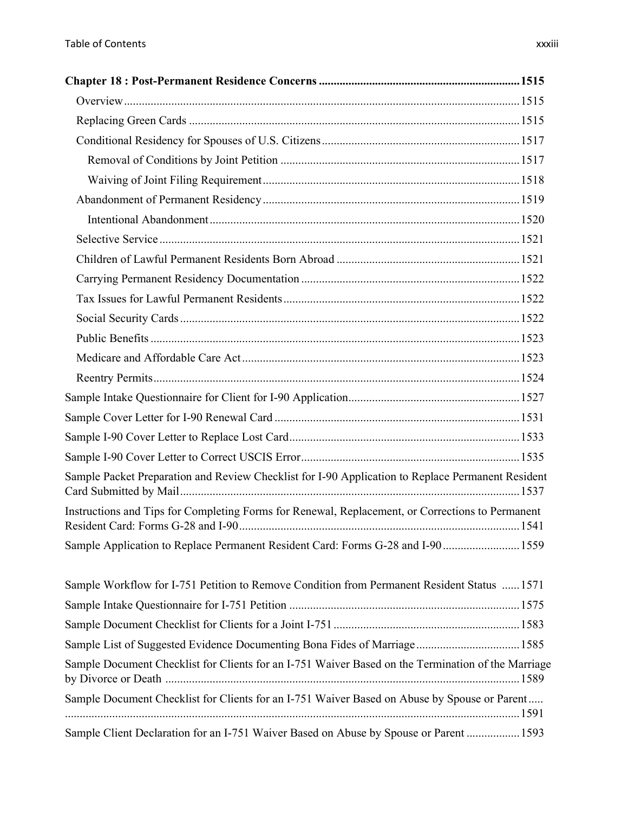| Sample Packet Preparation and Review Checklist for I-90 Application to Replace Permanent Resident  |  |
|----------------------------------------------------------------------------------------------------|--|
| Instructions and Tips for Completing Forms for Renewal, Replacement, or Corrections to Permanent   |  |
| Sample Application to Replace Permanent Resident Card: Forms G-28 and I-90 1559                    |  |
| Sample Workflow for I-751 Petition to Remove Condition from Permanent Resident Status  1571        |  |
|                                                                                                    |  |
|                                                                                                    |  |
| Sample List of Suggested Evidence Documenting Bona Fides of Marriage 1585                          |  |
| Sample Document Checklist for Clients for an I-751 Waiver Based on the Termination of the Marriage |  |
| Sample Document Checklist for Clients for an I-751 Waiver Based on Abuse by Spouse or Parent       |  |
| Sample Client Declaration for an I-751 Waiver Based on Abuse by Spouse or Parent  1593             |  |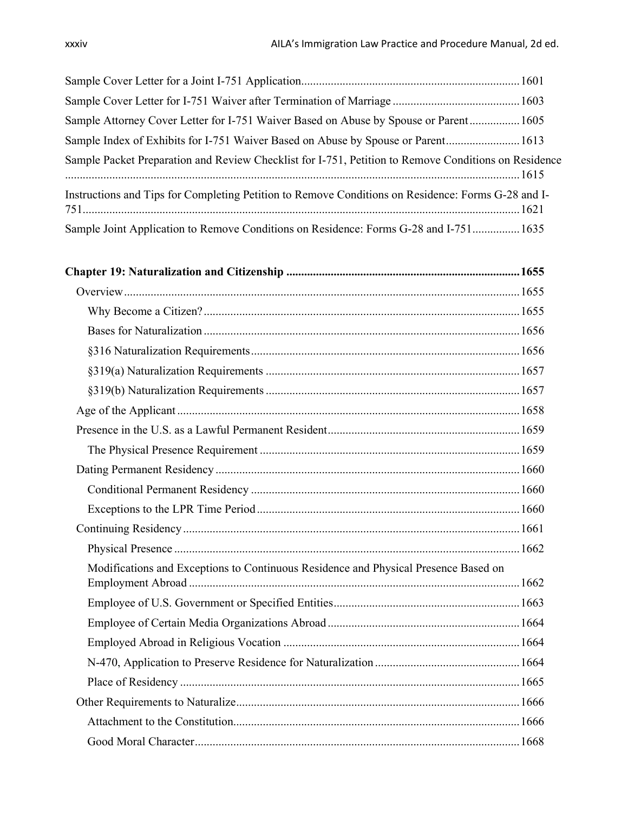| Sample Attorney Cover Letter for I-751 Waiver Based on Abuse by Spouse or Parent 1605                |  |
|------------------------------------------------------------------------------------------------------|--|
| Sample Index of Exhibits for I-751 Waiver Based on Abuse by Spouse or Parent 1613                    |  |
| Sample Packet Preparation and Review Checklist for I-751, Petition to Remove Conditions on Residence |  |
| Instructions and Tips for Completing Petition to Remove Conditions on Residence: Forms G-28 and I-   |  |
| Sample Joint Application to Remove Conditions on Residence: Forms G-28 and I-751 1635                |  |

| Modifications and Exceptions to Continuous Residence and Physical Presence Based on |  |
|-------------------------------------------------------------------------------------|--|
|                                                                                     |  |
|                                                                                     |  |
|                                                                                     |  |
|                                                                                     |  |
|                                                                                     |  |
|                                                                                     |  |
|                                                                                     |  |
|                                                                                     |  |
|                                                                                     |  |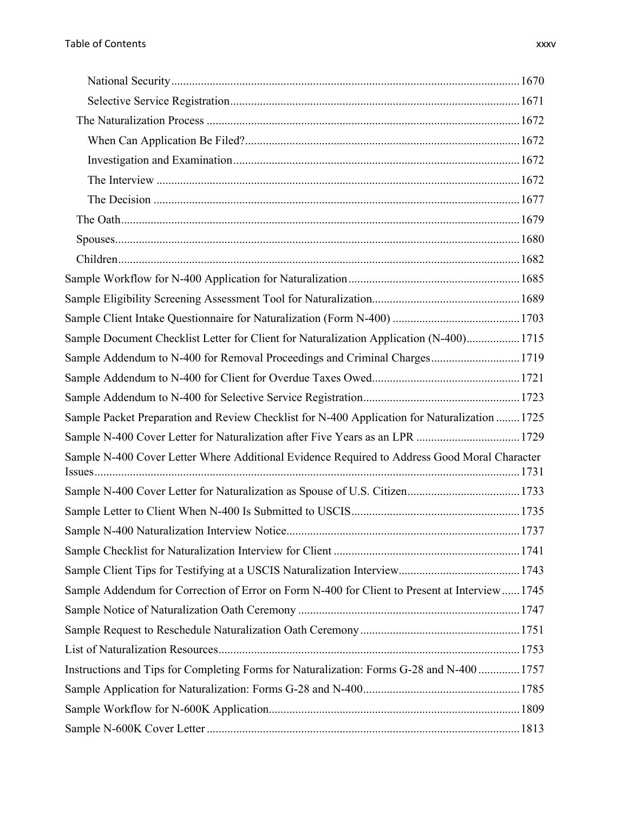| Sample Document Checklist Letter for Client for Naturalization Application (N-400) 1715        |  |
|------------------------------------------------------------------------------------------------|--|
| Sample Addendum to N-400 for Removal Proceedings and Criminal Charges 1719                     |  |
|                                                                                                |  |
|                                                                                                |  |
| Sample Packet Preparation and Review Checklist for N-400 Application for Naturalization  1725  |  |
| Sample N-400 Cover Letter for Naturalization after Five Years as an LPR  1729                  |  |
| Sample N-400 Cover Letter Where Additional Evidence Required to Address Good Moral Character   |  |
| Sample N-400 Cover Letter for Naturalization as Spouse of U.S. Citizen1733                     |  |
|                                                                                                |  |
| 1737                                                                                           |  |
|                                                                                                |  |
|                                                                                                |  |
| Sample Addendum for Correction of Error on Form N-400 for Client to Present at Interview  1745 |  |
|                                                                                                |  |
|                                                                                                |  |
|                                                                                                |  |
| Instructions and Tips for Completing Forms for Naturalization: Forms G-28 and N-400  1757      |  |
|                                                                                                |  |
|                                                                                                |  |
|                                                                                                |  |